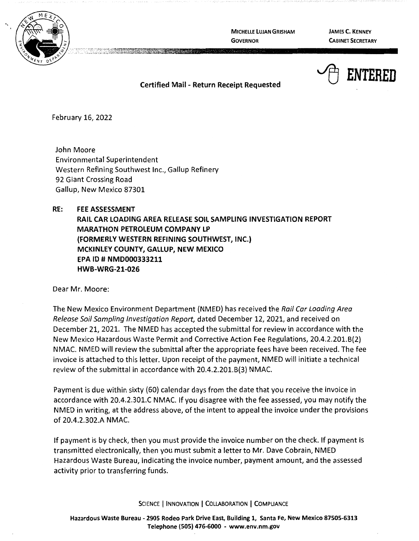

**MICHELLE LUJAN GRISHAM GOVERNOR** 

**JAMES C. KENNEY CABINET SECRETARY** 



**Certified Mail** - **Return Receipt Requested** 

February 16, 2022

John Moore Environmental Superintendent Western Refining Southwest Inc., Gallup Refinery 92 Giant Crossing Road Gallup, New Mexico 87301

## **RE: FEE ASSESSMENT**

**RAIL CAR LOADING AREA RELEASE SOIL SAMPLING INVESTIGATION REPORT MARATHON PETROLEUM COMPANY LP (FORMERLY WESTERN REFINING SOUTHWEST, INC.) MCKINLEY COUNTY, GALLUP, NEW MEXICO EPA** ID# **NMD000333211 HWB-WRG-21-026** 

Dear Mr. Moore:

The New Mexico Environment Department (NMED) has received the Rail Car Loading Area Release Soil Sampling Investigation Report, dated December 12, 2021, and received on December 21, 2021. The NMED has accepted the submittal for review in accordance with the New Mexico Hazardous Waste Permit and Corrective Action Fee Regulations, 20.4.2.201.8(2) NMAC. NMED will review the submittal after the appropriate fees have been received. The fee invoice is attached to this letter. Upon receipt of the payment, NMED will initiate a technical review of the submittal in accordance with 20.4.2.201.8(3) NMAC.

Payment is due within sixty (60) calendar days from the date that you receive the invoice in accordance with 20.4.2.301.C NMAC. If you disagree with the fee assessed, you may notify the NMED in writing, at the address above, of the intent to appeal the invoice under the provisions of 20.4.2.302.A NMAC.

If payment is by check, then you must provide the invoice number on the check. If payment is transmitted electronically, then you must submit a letter to Mr. Dave Cobrain, NMED Hazardous Waste Bureau, indicating the invoice number, payment amount, and the assessed activity prior to transferring funds.

SCIENCE | INNOVATION | COLLABORATION | COMPLIANCE

**Hazardous Waste Bureau** - **2905 Rodeo Park Drive East, Building 1, Santa Fe, New Mexico 87505-6313 Telephone (SOS) 476-6000** - **www.env.nm.gov**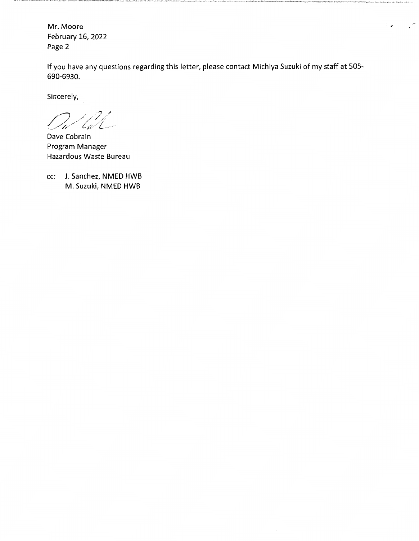Mr. Moore February 16, 2022 Page 2

If you have any questions regarding this letter, please contact Michiya Suzuki of my staff at 505- 690-6930.

 $\mathbb{Z}_{\mathcal{F}}$  .  $\mathbb{Z}_{\mathcal{F}}$ 

Sincerely,

/ ··; *./ .·J. .. / \_\_\_\_\_\_ /;:/"'/ i:://z* \_ ...

Dave Cobrain Program Manager Hazardous Waste Bureau

cc: J. Sanchez, NMED HWB M. Suzuki, NMED HWB